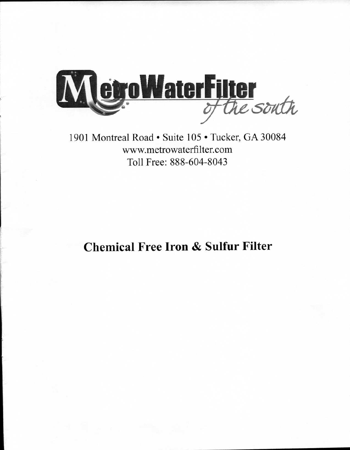

1901 Montreal Road • Suite 105 • Tucker, GA 30084 www.metrowaterfilter.com Toll Free: 888-604-8043

# **Chemical Free Iron & Sulfur Filter**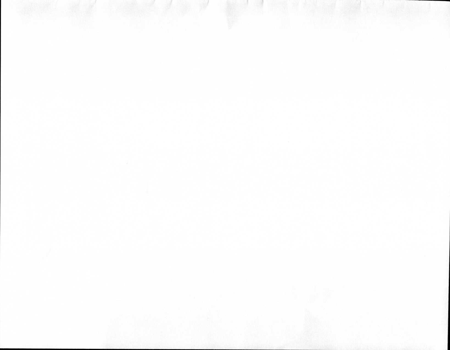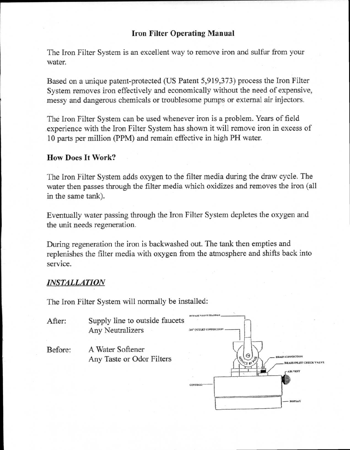## **Iron Filter Operating Manual**

The Iron Filter System is an excellent way to remove iron and sulfur from your water.

Based on a unique patent-protected (US Patent 5,919,373) process the Iron Filter System removes iron effectively and economically without the need of expensive, messy and dangerous chemicals or troublesome pumps or external air injectors.

The Iron Filter System can be used whenever iron is a problem. Years of field experience with the Iron Filter System has shown it will remove iron in excess of 10 parts per million (PPM) and remain effective in high PH water.

### **How Does It Work?**

The Iron Filter System adds oxygen to the filter media during the draw cycle. The water then passes through the filter media which oxidizes and removes the iron (all in the same tank).

Eventually water passing through the Iron Filter System depletes the oxygen and the unit needs regeneration.

During regeneration the iron is backwashed out. The tank then empties and replenishes the filter media with oxygen from the atmosphere and shifts back into service.

## *INSTALLATION*

The Iron Filter System will normally be installed:

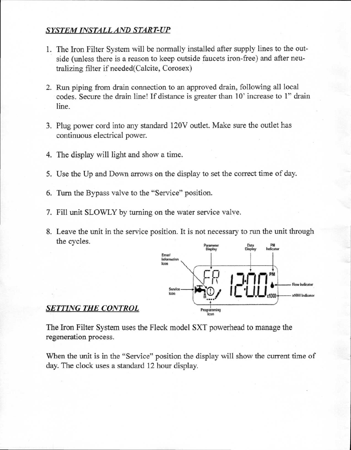### *SYSTEM INSTALL AND START-UP*

- 1. The Iron Filter System will be normally installed after supply lines to the outside (unless there is a reason to keep outside faucets iron-free) and after neutralizing filter if needed(Calcite, Corosex)
- 2. Run piping from drain connection to an approved drain, following all local codes. Secure the drain line! If distance is greater than 10' increase to 1" drain line.
- 3. Plug power cord into any standard 120V outlet. Make sure the outlet has continuous electrical power.
- 4. The display will light and show a time.
- 5. Use the Up and Down arrows on the display to set the correct time of day.
- 6. Turn the Bypass valve to the "Service" position.
- 7. Fill unit SLOWLY by turning on the water service valve.
- 8. Leave the unit in the service position. It is not necessary to run the unit through the cycles.



### *SETTING THE CONTROL*

The Iron Filter System uses the Fleck model SXT powerhead to manage the regeneration process.

When the unit is in the "Service" position the display will show the current time of day. The clock uses a standard 12 hour display.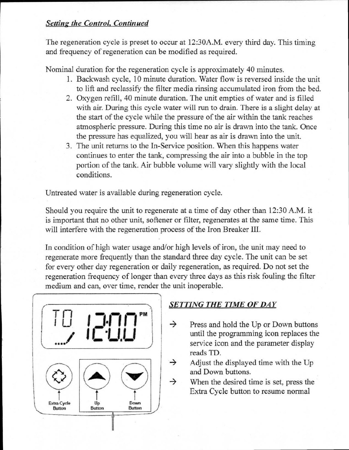## *Setting the Control, Continued*

The regeneration cycle is preset to occur at 12:30A.M. every third day. This timing and frequency of regeneration can be modified as required.

Nominal duration for the regeneration cycle is approximately 40 minutes.

- 1. Backwash cycle, 10 minute duration. Water flow is reversed inside the unit to lift and reclassify the filter media rinsing accumulated iron from the bed.
- 2. Oxygen refill, 40 minute duration. The unit empties of water and is filled with air. During this cycle water will run to drain. There is a slight delay at the start of the cycle while the pressure of the air within the tank reaches atmospheric pressure. During this time no air is drawn into the tank. Once the pressure has equalized, you will hear as air is drawn into the unit.
- 3. The unit returns to the In-Service position. When this happens water continues to enter the tank, compressing the air into a bubble in the top portion of the tank. Air bubble volume will vary slightly with the local conditions.

Untreated water is available during regeneration cycle.

Should you require the unit to regenerate at a time of day other than 12:30 A.M. it is important that no other unit, softener or filter, regenerates at the same time. This will interfere with the regeneration process of the Iron Breaker III.

In condition of high water usage and/or high levels of iron, the unit may need to regenerate more frequently than the standard three day cycle. The unit can be set for every other day regeneration or daily regeneration, as required. Do not set the regeneration frequency of longer than every three days as this risk fouling the filter medium and can, over time, render the unit inoperable.



# *SETTING THE TIME OF DAY*

- $\rightarrow$  Press and hold the Up or Down buttons until the programming icon replaces the service icon and the parameter display reads **TD.**
- $\rightarrow$  Adjust the displayed time with the Up and Down buttons.
- $\rightarrow$  When the desired time is set, press the Extra Cycle button to resume normal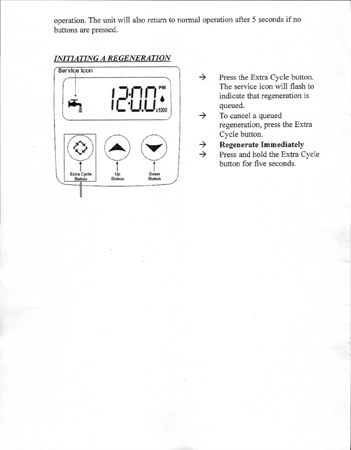operation. The unit will also return to normal operation after 5 seconds if no buttons are pressed.

# *INITIATING A REGENERATION*  Service **Icon (** r **n**  04% **I Bi 1,/ I<sup>x</sup><sup>=</sup>** Up<br>Button Down<br>Button Extra Cycle **Button**

- $\rightarrow$  Press the Extra Cycle button. The service icon will flash to indicate that regeneration is queued.
- To cancel a queued  $\rightarrow$ regeneration, press the Extra Cycle button.
- $\rightarrow$  **Regenerate Immediately**<br> $\rightarrow$  **Press and hold the Extra C** 
	- Press and hold the Extra Cycle button for five seconds.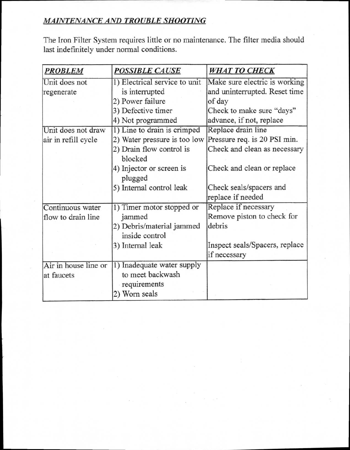# *MAINTENANCE AND TROUBLE SHOOTING*

The Iron Filter System requires little or no maintenance. The filter media should last indefinitely under normal conditions.

| <b>PROBLEM</b>                     | <b>POSSIBLE CAUSE</b>                                                           | <b>WHAT TO CHECK</b>                                           |
|------------------------------------|---------------------------------------------------------------------------------|----------------------------------------------------------------|
| Unit does not<br>regenerate        | 1) Electrical service to unit<br>is interrupted                                 | Make sure electric is working<br>and uninterrupted. Reset time |
|                                    | 2) Power failure                                                                | of day                                                         |
|                                    | 3) Defective timer                                                              | Check to make sure "days"                                      |
|                                    | 4) Not programmed                                                               | advance, if not, replace                                       |
| Unit does not draw                 | 1) Line to drain is crimped                                                     | Replace drain line                                             |
| air in refill cycle                | 2) Water pressure is too low                                                    | Pressure req. is 20 PSI min.                                   |
|                                    | 2) Drain flow control is<br>blocked                                             | Check and clean as necessary                                   |
|                                    | 4) Injector or screen is<br>plugged                                             | Check and clean or replace                                     |
|                                    | 5) Internal control leak                                                        | Check seals/spacers and                                        |
|                                    |                                                                                 | replace if needed                                              |
| Continuous water                   | 1) Timer motor stopped or                                                       | Replace if necessary                                           |
| flow to drain line                 | jammed                                                                          | Remove piston to check for                                     |
|                                    | 2) Debris/material jammed<br>inside control                                     | debris                                                         |
|                                    | 3) Internal leak                                                                | Inspect seals/Spacers, replace<br>if necessary                 |
| Air in house line or<br>at faucets | Inadequate water supply<br>$\left( \right)$<br>to meet backwash<br>requirements |                                                                |
|                                    | 2) Worn seals                                                                   |                                                                |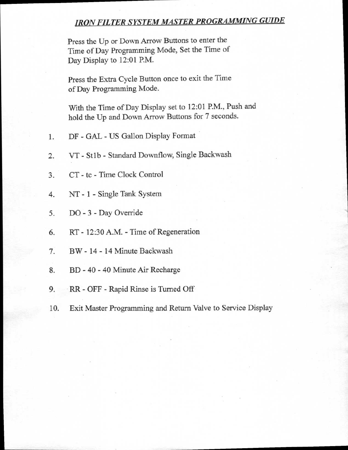# *IRON FILTER SYSTEM MASTER PROGRAMMING GUIDE*

Press the Up or Down Arrow Buttons to enter the Time of Day Programming Mode, Set the Time of Day Display to 12:01 P.M.

Press the Extra Cycle Button once to exit the Time of Day Programming Mode.

With the Time of Day Display set to 12:01 P.M., Push and hold the Up and Down Arrow Buttons for 7 seconds.

- 1. DF GAL US Gallon Display Format
- 2. VT Stlb Standard Downflow, Single Backwash
- 3. CT tc Time Clock Control
- 4. NT 1 Single Tank System
- 5. DO 3 Day Override
- 6. RT 12:30 A.M. Time of Regeneration
- 7. BW 14 14 Minute Backwash
- 8. BD 40 40 Minute Air Recharge
- 9. RR OFF Rapid Rinse is Turned Off
- 10. Exit Master Programming and Return Valve to Service Display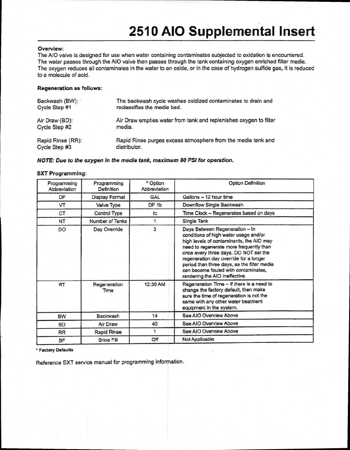# **2510 A10 Supplemental Insert**

#### **Overview:**

The A10 valve is designed for use when water containing contaminates subjected to oxidation is encountered. The water passes through the NO valve then passes through the tank containing oxygen enriched filter media. The oxygen reduces all contaminates in the water to an oxide, or in the case of hydrogen sulfide gas, it is reduced to a molecule of acid.

#### **Regeneration as folluws:**

| Backwash (BW):    | The backwash cycle washes oxidized contaminates to drain and      |
|-------------------|-------------------------------------------------------------------|
| Cycle Step #1     | reclassifies the media bed.                                       |
| Air Draw (BD):    | Air Draw empties water from tank and replenishes oxygen to filter |
| Cycle Step #2     | media.                                                            |
| Rapid Rinse (RR): | Rapid Rinse purges excess atmosphere from the media tank and      |
| Cycle Step #3     | distributor.                                                      |

**NOTE: Due to the oxygen in the media tank, maximum 80 PSI for operation.** 

#### **SXT Programming:**

| Programming<br>Abbreviation | Programming<br>Definition | * Option<br>Abbreviation | <b>Option Definition</b>                                                                                                                                                                                                                                                                                                                                                   |  |
|-----------------------------|---------------------------|--------------------------|----------------------------------------------------------------------------------------------------------------------------------------------------------------------------------------------------------------------------------------------------------------------------------------------------------------------------------------------------------------------------|--|
| DF                          | <b>Display Format</b>     | GAL                      | Gallons - 12 hour time                                                                                                                                                                                                                                                                                                                                                     |  |
| VT                          | Valve Type                | DF <sub>1b</sub>         | Downflow Single Backwash                                                                                                                                                                                                                                                                                                                                                   |  |
| СT                          | Control Type              | tc                       | Time Clock - Regenerates based on days                                                                                                                                                                                                                                                                                                                                     |  |
| NT                          | Number of Tanks           | 1                        | Single Tank                                                                                                                                                                                                                                                                                                                                                                |  |
| DO                          | Day Override              | 3                        | Days Between Regeneration - In<br>conditions of high water usage and/or<br>high levels of contaminants, the AIO may<br>need to regenerate more frequently than<br>once every three days. DO NOT set the<br>regeneration day override for a longer<br>period than three days, as the filter media<br>can become fouled with contaminates,<br>rendering the AIO ineffective. |  |
| RT                          | Regeneration<br>Time      | 12:30 AM                 | Regeneration Time - If there is a need to<br>change the factory default, then make<br>sure the time of regeneration is not the<br>same with any other water treatment<br>equipment in the system.                                                                                                                                                                          |  |
| <b>BW</b>                   | Backwash                  | 14                       | See AIO Overview Above                                                                                                                                                                                                                                                                                                                                                     |  |
| <b>BD</b>                   | Air Draw                  | 40                       | See AIO Overview Above                                                                                                                                                                                                                                                                                                                                                     |  |
| RR                          | <b>Rapid Rinse</b>        |                          | See AIO Overview Above                                                                                                                                                                                                                                                                                                                                                     |  |
| <b>BF</b>                   | <b>Brine Fill</b>         | Off                      | Not Applicable                                                                                                                                                                                                                                                                                                                                                             |  |

Factory Defaults

Reference SXT service manual for programming information.